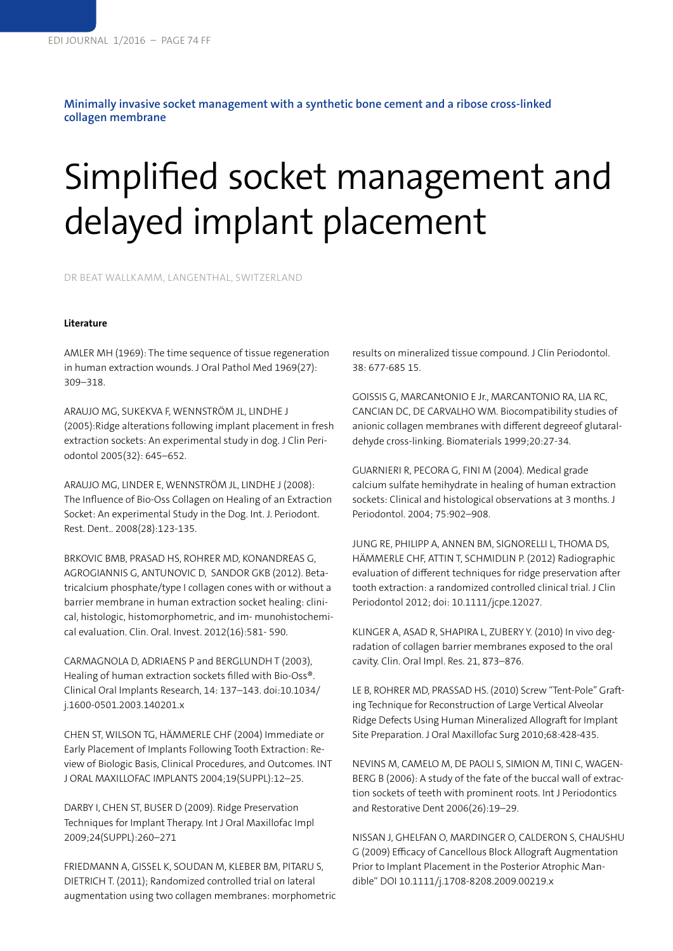**Minimally invasive socket management with a synthetic bone cement and a ribose cross-linked collagen membrane**

## Simplified socket management and delayed implant placement

DR BEAT WALLKAMM, LANGENTHAL, SWITZERLAND

## **Literature**

AMLER MH (1969): The time sequence of tissue regeneration in human extraction wounds. J Oral Pathol Med 1969(27): 309–318.

ARAUJO MG, SUKEKVA F, WENNSTRÖM JL, LINDHE J (2005):Ridge alterations following implant placement in fresh extraction sockets: An experimental study in dog. J Clin Periodontol 2005(32): 645–652.

ARAUJO MG, LINDER E, WENNSTRÖM JL, LINDHE J (2008): The Influence of Bio-Oss Collagen on Healing of an Extraction Socket: An experimental Study in the Dog. Int. J. Periodont. Rest. Dent.. 2008(28):123-135.

BRKOVIC BMB, PRASAD HS, ROHRER MD, KONANDREAS G, AGROGIANNIS G, ANTUNOVIC D, SANDOR GKB (2012). Betatricalcium phosphate/type I collagen cones with or without a barrier membrane in human extraction socket healing: clinical, histologic, histomorphometric, and im- munohistochemical evaluation. Clin. Oral. Invest. 2012(16):581- 590.

CARMAGNOLA D, ADRIAENS P and BERGLUNDH T (2003), Healing of human extraction sockets filled with Bio-Oss®. Clinical Oral Implants Research, 14: 137–143. doi:10.1034/ j.1600-0501.2003.140201.x

CHEN ST, WILSON TG, HÄMMERLE CHF (2004) Immediate or Early Placement of Implants Following Tooth Extraction: Review of Biologic Basis, Clinical Procedures, and Outcomes. INT J ORAL MAXILLOFAC IMPLANTS 2004;19(SUPPL):12–25.

DARBY I, CHEN ST, BUSER D (2009). Ridge Preservation Techniques for Implant Therapy. Int J Oral Maxillofac Impl 2009;24(SUPPL):260–271

FRIEDMANN A, GISSEL K, SOUDAN M, KLEBER BM, PITARU S, DIETRICH T. (2011); Randomized controlled trial on lateral augmentation using two collagen membranes: morphometric results on mineralized tissue compound. J Clin Periodontol. 38: 677-685 15.

GOISSIS G, MARCANtONIO E Jr., MARCANTONIO RA, LIA RC, CANCIAN DC, DE CARVALHO WM. Biocompatibility studies of anionic collagen membranes with different degreeof glutaraldehyde cross-linking. Biomaterials 1999;20:27-34.

GUARNIERI R, PECORA G, FINI M (2004). Medical grade calcium sulfate hemihydrate in healing of human extraction sockets: Clinical and histological observations at 3 months. J Periodontol. 2004; 75:902–908.

JUNG RE, PHILIPP A, ANNEN BM, SIGNORELLI L, THOMA DS, HÄMMERLE CHF, ATTIN T, SCHMIDLIN P. (2012) Radiographic evaluation of different techniques for ridge preservation after tooth extraction: a randomized controlled clinical trial. J Clin Periodontol 2012; doi: 10.1111/jcpe.12027.

KLINGER A, ASAD R, SHAPIRA L, ZUBERY Y. (2010) In vivo degradation of collagen barrier membranes exposed to the oral cavity. Clin. Oral Impl. Res. 21, 873–876.

LE B, ROHRER MD, PRASSAD HS. (2010) Screw "Tent-Pole" Grafting Technique for Reconstruction of Large Vertical Alveolar Ridge Defects Using Human Mineralized Allograft for Implant Site Preparation. J Oral Maxillofac Surg 2010;68:428-435.

NEVINS M, CAMELO M, DE PAOLI S, SIMION M, TINI C, WAGEN-BERG B (2006): A study of the fate of the buccal wall of extraction sockets of teeth with prominent roots. Int J Periodontics and Restorative Dent 2006(26):19–29.

NISSAN J, GHELFAN O, MARDINGER O, CALDERON S, CHAUSHU G (2009) Efficacy of Cancellous Block Allograft Augmentation Prior to Implant Placement in the Posterior Atrophic Mandible" DOI 10.1111/j.1708-8208.2009.00219.x